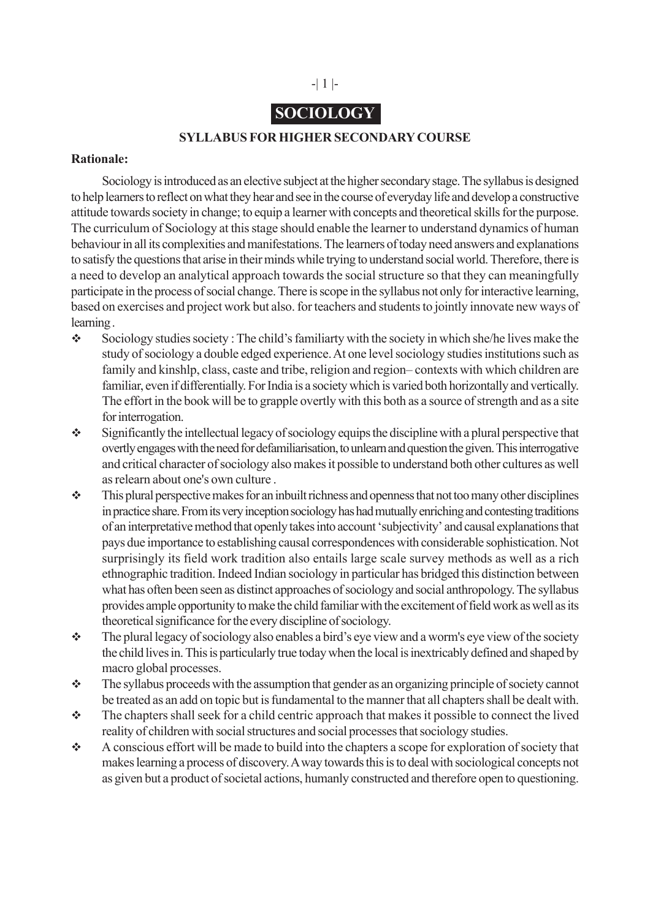# -| 1 |-

# **SOCIOLOGY**

## **SYLLABUS FOR HIGHER SECONDARY COURSE**

#### **Rationale:**

Sociology is introduced as an elective subject at the higher secondary stage. The syllabus is designed to help learners to reflect on what they hear and see in the course of everyday life and develop a constructive attitude towards society in change; to equip a learner with concepts and theoretical skills for the purpose. The curriculum of Sociology at this stage should enable the learner to understand dynamics of human behaviour in all its complexities and manifestations. The learners of today need answers and explanations to satisfy the questions that arise in their minds while trying to understand social world. Therefore, there is a need to develop an analytical approach towards the social structure so that they can meaningfully participate in the process of social change. There is scope in the syllabus not only for interactive learning, based on exercises and project work but also. for teachers and students to jointly innovate new ways of learning .

- Sociology studies society : The child's familiarty with the society in which she/he lives make the study of sociology a double edged experience. At one level sociology studies institutions such as family and kinshlp, class, caste and tribe, religion and region– contexts with which children are familiar, even if differentially. For India is a society which is varied both horizontally and vertically. The effort in the book will be to grapple overtly with this both as a source of strength and as a site for interrogation.
- Significantly the intellectual legacy of sociology equips the discipline with a plural perspective that overtly engages with the need for defamiliarisation, to unlearn and question the given. This interrogative and critical character of sociology also makes it possible to understand both other cultures as well as relearn about one's own culture .
- $\div$  This plural perspective makes for an inbuilt richness and openness that not too many other disciplines in practice share. From its very inception sociology has had mutually enriching and contesting traditions of an interpretative method that openly takes into account 'subjectivity' and causal explanations that pays due importance to establishing causal correspondences with considerable sophistication. Not surprisingly its field work tradition also entails large scale survey methods as well as a rich ethnographic tradition. Indeed Indian sociology in particular has bridged this distinction between what has often been seen as distinct approaches of sociology and social anthropology. The syllabus provides ample opportunity to make the child familiar with the excitement of field work as well as its theoretical significance for the every discipline of sociology.
- $\triangle$  The plural legacy of sociology also enables a bird's eye view and a worm's eye view of the society the child lives in. This is particularly true today when the local is inextricably defined and shaped by macro global processes.
- $\triangle$  The syllabus proceeds with the assumption that gender as an organizing principle of society cannot be treated as an add on topic but is fundamental to the manner that all chapters shall be dealt with.
- $\triangle$  The chapters shall seek for a child centric approach that makes it possible to connect the lived reality of children with social structures and social processes that sociology studies.
- $\triangle$  A conscious effort will be made to build into the chapters a scope for exploration of society that makes learning a process of discovery. A way towards this is to deal with sociological concepts not as given but a product of societal actions, humanly constructed and therefore open to questioning.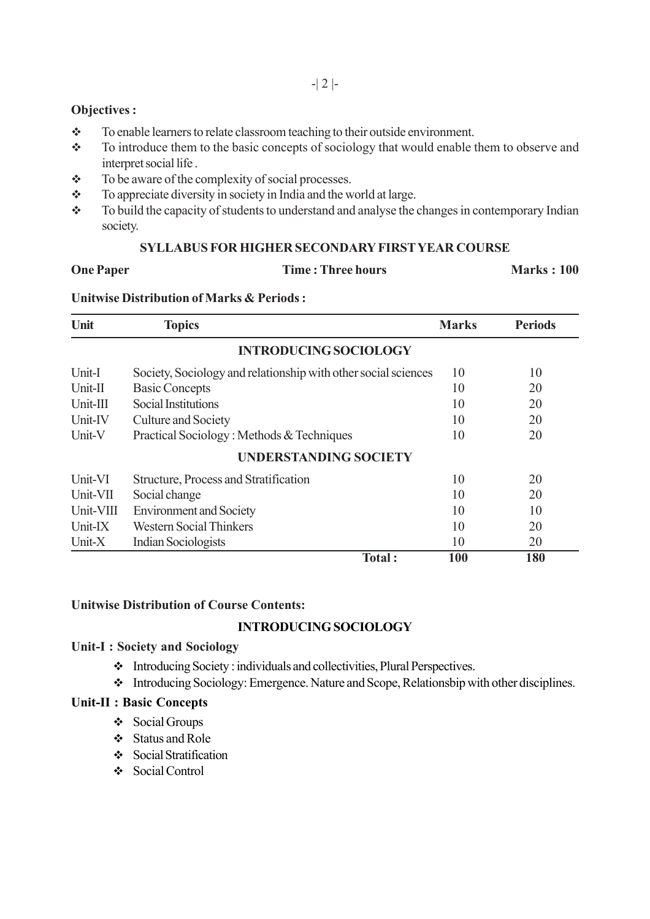## **Objectives :**

- To enable learners to relate classroom teaching to their outside environment.
- \* To introduce them to the basic concepts of sociology that would enable them to observe and interpret social life .
- $\div$  To be aware of the complexity of social processes.
- $\bullet$  To appreciate diversity in society in India and the world at large.
- $\bullet$  To build the capacity of students to understand and analyse the changes in contemporary Indian society.

### **SYLLABUS FOR HIGHER SECONDARY FIRST YEAR COURSE**

## **One Paper Time : Three hours Marks : 100**

### **Unitwise Distribution of Marks & Periods :**

| Unit      | <b>Topics</b>                                                  | <b>Marks</b> | <b>Periods</b> |
|-----------|----------------------------------------------------------------|--------------|----------------|
|           | <b>INTRODUCING SOCIOLOGY</b>                                   |              |                |
| Unit-I    | Society, Sociology and relationship with other social sciences | 10           | 10             |
| Unit-II   | <b>Basic Concepts</b>                                          | 10           | 20             |
| Unit-III  | <b>Social Institutions</b>                                     | 10           | 20             |
| Unit-IV   | Culture and Society                                            | 10           | 20             |
| Unit-V    | Practical Sociology: Methods & Techniques                      | 10           | 20             |
|           | <b>UNDERSTANDING SOCIETY</b>                                   |              |                |
| Unit-VI   | Structure, Process and Stratification                          | 10           | 20             |
| Unit-VII  | Social change                                                  | 10           | 20             |
| Unit-VIII | <b>Environment and Society</b>                                 | 10           | 10             |
| Unit-IX   | <b>Western Social Thinkers</b>                                 | 10           | 20             |
| Unit- $X$ | <b>Indian Sociologists</b>                                     | 10           | 20             |
|           | Total:                                                         | 100          | 180            |

#### **Unitwise Distribution of Course Contents:**

## **INTRODUCING SOCIOLOGY**

### **Unit-I : Society and Sociology**

- Introducing Society : individuals and collectivities, Plural Perspectives.
- Introducing Sociology: Emergence. Nature and Scope, Relationsbip with other disciplines.

#### **Unit-II : Basic Concepts**

- Social Groups
- ❖ Status and Role
- Social Stratification
- ❖ Social Control